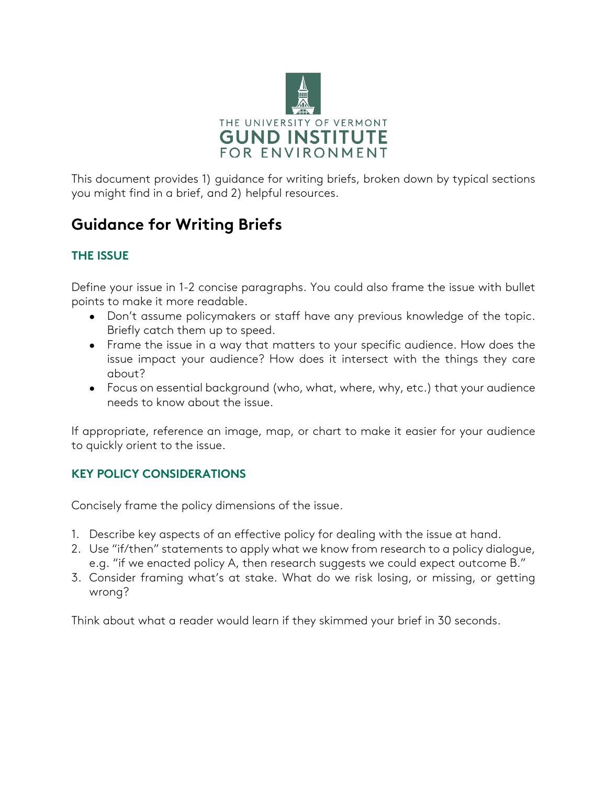

This document provides 1) guidance for writing briefs, broken down by typical sections you might find in a brief, and 2) helpful resources.

# **Guidance for Writing Briefs**

# **THE ISSUE**

Define your issue in 1-2 concise paragraphs. You could also frame the issue with bullet points to make it more readable.

- Don't assume policymakers or staff have any previous knowledge of the topic. Briefly catch them up to speed.
- Frame the issue in a way that matters to your specific audience. How does the issue impact your audience? How does it intersect with the things they care about?
- Focus on essential background (who, what, where, why, etc.) that your audience needs to know about the issue.

If appropriate, reference an image, map, or chart to make it easier for your audience to quickly orient to the issue.

# **KEY POLICY CONSIDERATIONS**

Concisely frame the policy dimensions of the issue.

- 1. Describe key aspects of an effective policy for dealing with the issue at hand.
- 2. Use "if/then" statements to apply what we know from research to a policy dialogue, e.g. "if we enacted policy A, then research suggests we could expect outcome B."
- 3. Consider framing what's at stake. What do we risk losing, or missing, or getting wrong?

Think about what a reader would learn if they skimmed your brief in 30 seconds.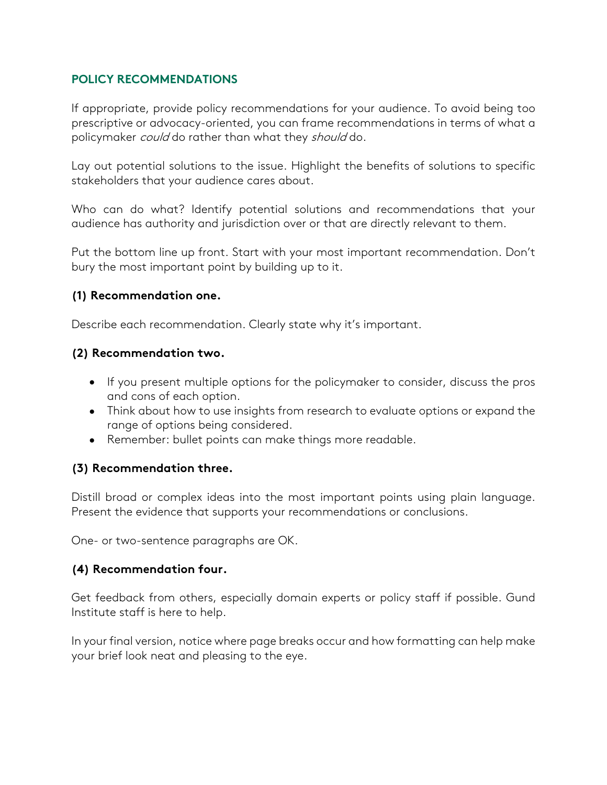### **POLICY RECOMMENDATIONS**

If appropriate, provide policy recommendations for your audience. To avoid being too prescriptive or advocacy-oriented, you can frame recommendations in terms of what a policymaker *could* do rather than what they should do.

Lay out potential solutions to the issue. Highlight the benefits of solutions to specific stakeholders that your audience cares about.

Who can do what? Identify potential solutions and recommendations that your audience has authority and jurisdiction over or that are directly relevant to them.

Put the bottom line up front. Start with your most important recommendation. Don't bury the most important point by building up to it.

#### **(1) Recommendation one.**

Describe each recommendation. Clearly state why it's important.

#### **(2) Recommendation two.**

- If you present multiple options for the policymaker to consider, discuss the pros and cons of each option.
- Think about how to use insights from research to evaluate options or expand the range of options being considered.
- Remember: bullet points can make things more readable.

## **(3) Recommendation three.**

Distill broad or complex ideas into the most important points using plain language. Present the evidence that supports your recommendations or conclusions.

One- or two-sentence paragraphs are OK.

#### **(4) Recommendation four.**

Get feedback from others, especially domain experts or policy staff if possible. Gund Institute staff is here to help.

In your final version, notice where page breaks occur and how formatting can help make your brief look neat and pleasing to the eye.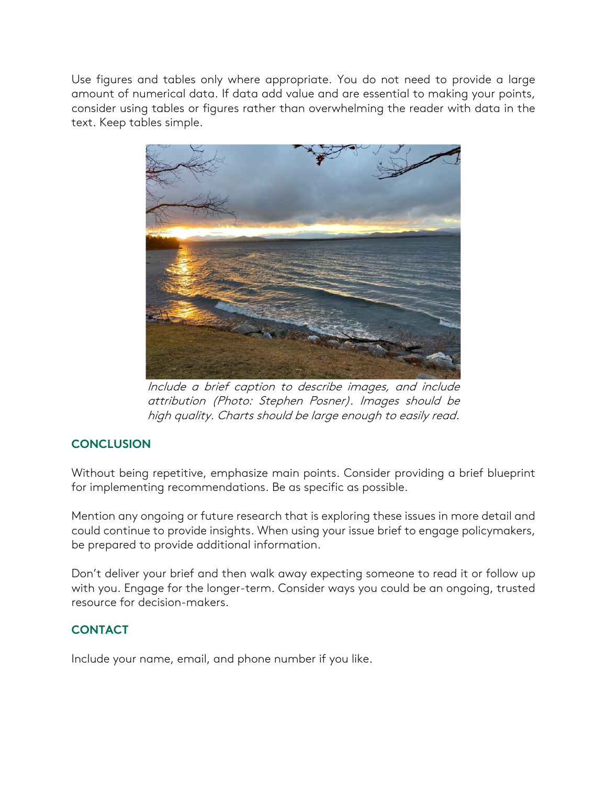Use figures and tables only where appropriate. You do not need to provide a large amount of numerical data. If data add value and are essential to making your points, consider using tables or figures rather than overwhelming the reader with data in the text. Keep tables simple.



Include a brief caption to describe images, and include attribution (Photo: Stephen Posner). Images should be high quality. Charts should be large enough to easily read.

## **CONCLUSION**

Without being repetitive, emphasize main points. Consider providing a brief blueprint for implementing recommendations. Be as specific as possible.

Mention any ongoing or future research that is exploring these issues in more detail and could continue to provide insights. When using your issue brief to engage policymakers, be prepared to provide additional information.

Don't deliver your brief and then walk away expecting someone to read it or follow up with you. Engage for the longer-term. Consider ways you could be an ongoing, trusted resource for decision-makers.

## **CONTACT**

Include your name, email, and phone number if you like.